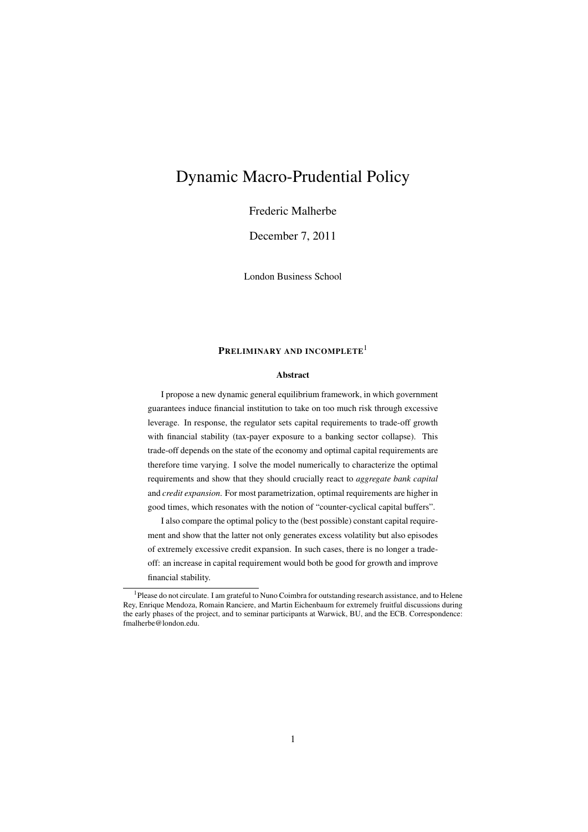# Dynamic Macro-Prudential Policy

Frederic Malherbe

December 7, 2011

London Business School

## PRELIMINARY AND INCOMPLETE<sup>1</sup>

## Abstract

I propose a new dynamic general equilibrium framework, in which government guarantees induce financial institution to take on too much risk through excessive leverage. In response, the regulator sets capital requirements to trade-off growth with financial stability (tax-payer exposure to a banking sector collapse). This trade-off depends on the state of the economy and optimal capital requirements are therefore time varying. I solve the model numerically to characterize the optimal requirements and show that they should crucially react to *aggregate bank capital* and *credit expansion*. For most parametrization, optimal requirements are higher in good times, which resonates with the notion of "counter-cyclical capital buffers".

I also compare the optimal policy to the (best possible) constant capital requirement and show that the latter not only generates excess volatility but also episodes of extremely excessive credit expansion. In such cases, there is no longer a tradeoff: an increase in capital requirement would both be good for growth and improve financial stability.

<sup>1</sup>Please do not circulate. I am grateful to Nuno Coimbra for outstanding research assistance, and to Helene Rey, Enrique Mendoza, Romain Ranciere, and Martin Eichenbaum for extremely fruitful discussions during the early phases of the project, and to seminar participants at Warwick, BU, and the ECB. Correspondence: fmalherbe@london.edu.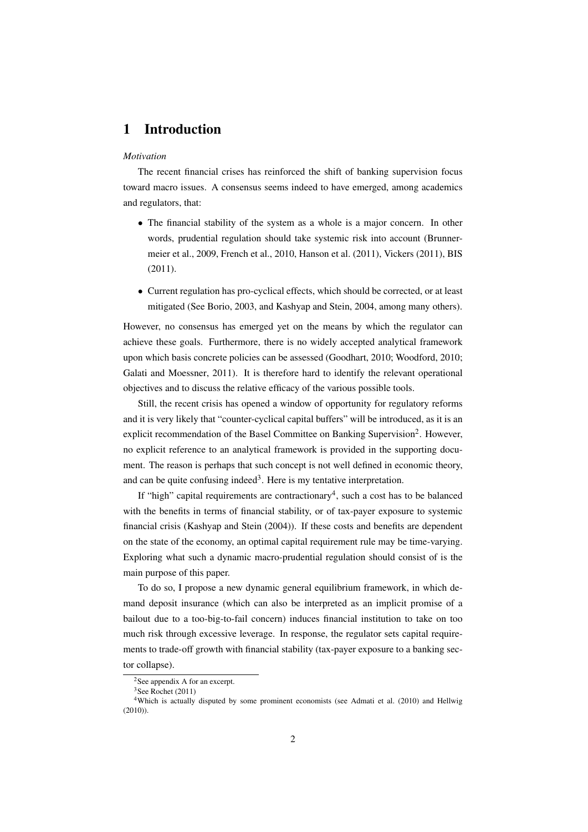# 1 Introduction

#### *Motivation*

The recent financial crises has reinforced the shift of banking supervision focus toward macro issues. A consensus seems indeed to have emerged, among academics and regulators, that:

- The financial stability of the system as a whole is a major concern. In other words, prudential regulation should take systemic risk into account (Brunnermeier et al., 2009, French et al., 2010, Hanson et al. (2011), Vickers (2011), BIS (2011).
- Current regulation has pro-cyclical effects, which should be corrected, or at least mitigated (See Borio, 2003, and Kashyap and Stein, 2004, among many others).

However, no consensus has emerged yet on the means by which the regulator can achieve these goals. Furthermore, there is no widely accepted analytical framework upon which basis concrete policies can be assessed (Goodhart, 2010; Woodford, 2010; Galati and Moessner, 2011). It is therefore hard to identify the relevant operational objectives and to discuss the relative efficacy of the various possible tools.

Still, the recent crisis has opened a window of opportunity for regulatory reforms and it is very likely that "counter-cyclical capital buffers" will be introduced, as it is an explicit recommendation of the Basel Committee on Banking Supervision<sup>2</sup>. However, no explicit reference to an analytical framework is provided in the supporting document. The reason is perhaps that such concept is not well defined in economic theory, and can be quite confusing indeed<sup>3</sup>. Here is my tentative interpretation.

If "high" capital requirements are contractionary<sup>4</sup>, such a cost has to be balanced with the benefits in terms of financial stability, or of tax-payer exposure to systemic financial crisis (Kashyap and Stein (2004)). If these costs and benefits are dependent on the state of the economy, an optimal capital requirement rule may be time-varying. Exploring what such a dynamic macro-prudential regulation should consist of is the main purpose of this paper.

To do so, I propose a new dynamic general equilibrium framework, in which demand deposit insurance (which can also be interpreted as an implicit promise of a bailout due to a too-big-to-fail concern) induces financial institution to take on too much risk through excessive leverage. In response, the regulator sets capital requirements to trade-off growth with financial stability (tax-payer exposure to a banking sector collapse).

<sup>&</sup>lt;sup>2</sup>See appendix A for an excerpt.  $3$ See Rochet (2011)

<sup>4</sup>Which is actually disputed by some prominent economists (see Admati et al. (2010) and Hellwig (2010)).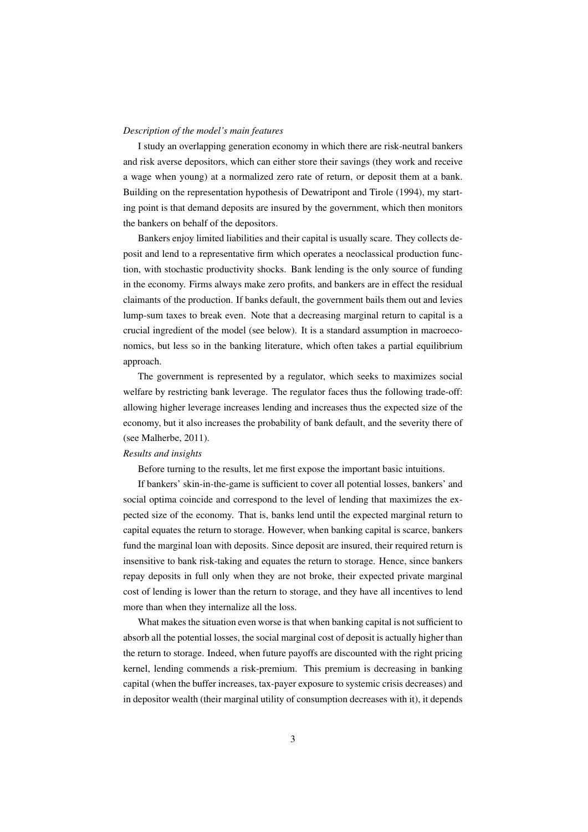#### *Description of the model's main features*

I study an overlapping generation economy in which there are risk-neutral bankers and risk averse depositors, which can either store their savings (they work and receive a wage when young) at a normalized zero rate of return, or deposit them at a bank. Building on the representation hypothesis of Dewatripont and Tirole (1994), my starting point is that demand deposits are insured by the government, which then monitors the bankers on behalf of the depositors.

Bankers enjoy limited liabilities and their capital is usually scare. They collects deposit and lend to a representative firm which operates a neoclassical production function, with stochastic productivity shocks. Bank lending is the only source of funding in the economy. Firms always make zero profits, and bankers are in effect the residual claimants of the production. If banks default, the government bails them out and levies lump-sum taxes to break even. Note that a decreasing marginal return to capital is a crucial ingredient of the model (see below). It is a standard assumption in macroeconomics, but less so in the banking literature, which often takes a partial equilibrium approach.

The government is represented by a regulator, which seeks to maximizes social welfare by restricting bank leverage. The regulator faces thus the following trade-off: allowing higher leverage increases lending and increases thus the expected size of the economy, but it also increases the probability of bank default, and the severity there of (see Malherbe, 2011).

#### *Results and insights*

Before turning to the results, let me first expose the important basic intuitions.

If bankers' skin-in-the-game is sufficient to cover all potential losses, bankers' and social optima coincide and correspond to the level of lending that maximizes the expected size of the economy. That is, banks lend until the expected marginal return to capital equates the return to storage. However, when banking capital is scarce, bankers fund the marginal loan with deposits. Since deposit are insured, their required return is insensitive to bank risk-taking and equates the return to storage. Hence, since bankers repay deposits in full only when they are not broke, their expected private marginal cost of lending is lower than the return to storage, and they have all incentives to lend more than when they internalize all the loss.

What makes the situation even worse is that when banking capital is not sufficient to absorb all the potential losses, the social marginal cost of deposit is actually higher than the return to storage. Indeed, when future payoffs are discounted with the right pricing kernel, lending commends a risk-premium. This premium is decreasing in banking capital (when the buffer increases, tax-payer exposure to systemic crisis decreases) and in depositor wealth (their marginal utility of consumption decreases with it), it depends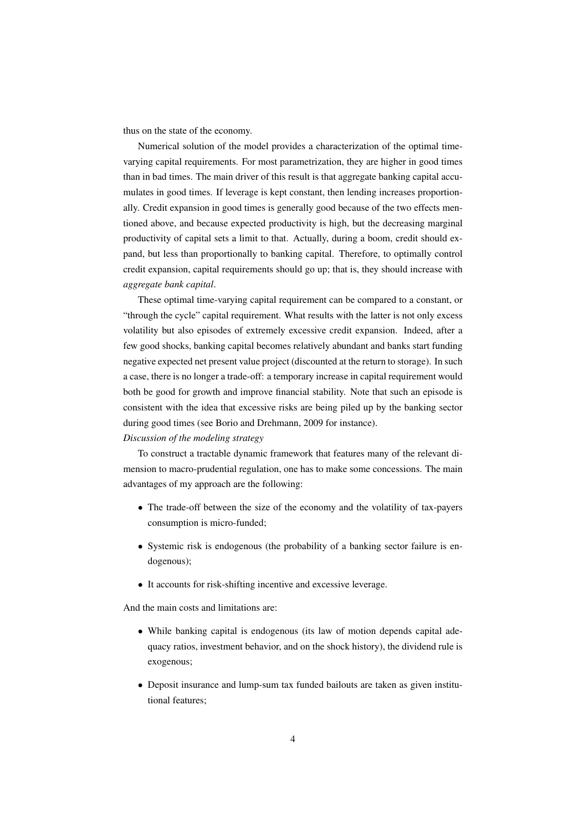thus on the state of the economy.

Numerical solution of the model provides a characterization of the optimal timevarying capital requirements. For most parametrization, they are higher in good times than in bad times. The main driver of this result is that aggregate banking capital accumulates in good times. If leverage is kept constant, then lending increases proportionally. Credit expansion in good times is generally good because of the two effects mentioned above, and because expected productivity is high, but the decreasing marginal productivity of capital sets a limit to that. Actually, during a boom, credit should expand, but less than proportionally to banking capital. Therefore, to optimally control credit expansion, capital requirements should go up; that is, they should increase with *aggregate bank capital*.

These optimal time-varying capital requirement can be compared to a constant, or "through the cycle" capital requirement. What results with the latter is not only excess volatility but also episodes of extremely excessive credit expansion. Indeed, after a few good shocks, banking capital becomes relatively abundant and banks start funding negative expected net present value project (discounted at the return to storage). In such a case, there is no longer a trade-off: a temporary increase in capital requirement would both be good for growth and improve financial stability. Note that such an episode is consistent with the idea that excessive risks are being piled up by the banking sector during good times (see Borio and Drehmann, 2009 for instance).

*Discussion of the modeling strategy*

To construct a tractable dynamic framework that features many of the relevant dimension to macro-prudential regulation, one has to make some concessions. The main advantages of my approach are the following:

- The trade-off between the size of the economy and the volatility of tax-payers consumption is micro-funded;
- Systemic risk is endogenous (the probability of a banking sector failure is endogenous);
- It accounts for risk-shifting incentive and excessive leverage.

And the main costs and limitations are:

- While banking capital is endogenous (its law of motion depends capital adequacy ratios, investment behavior, and on the shock history), the dividend rule is exogenous;
- Deposit insurance and lump-sum tax funded bailouts are taken as given institutional features;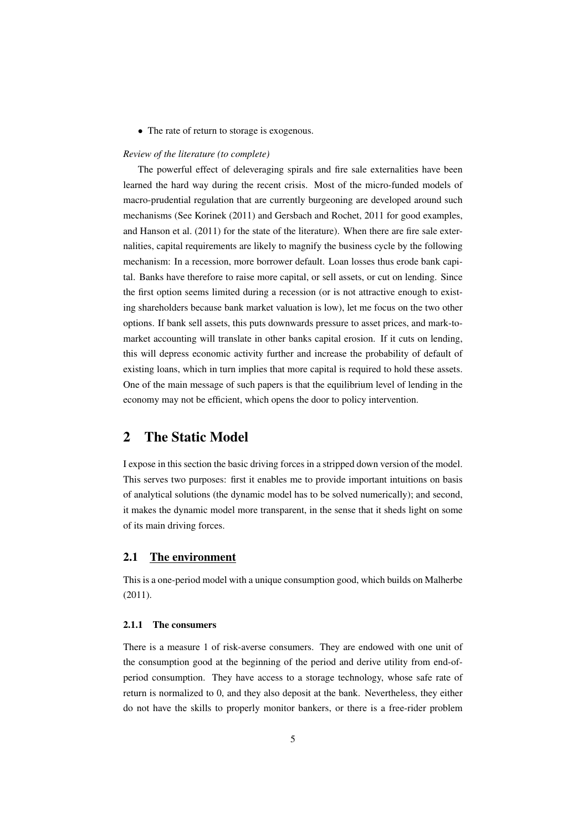• The rate of return to storage is exogenous.

#### *Review of the literature (to complete)*

The powerful effect of deleveraging spirals and fire sale externalities have been learned the hard way during the recent crisis. Most of the micro-funded models of macro-prudential regulation that are currently burgeoning are developed around such mechanisms (See Korinek (2011) and Gersbach and Rochet, 2011 for good examples, and Hanson et al. (2011) for the state of the literature). When there are fire sale externalities, capital requirements are likely to magnify the business cycle by the following mechanism: In a recession, more borrower default. Loan losses thus erode bank capital. Banks have therefore to raise more capital, or sell assets, or cut on lending. Since the first option seems limited during a recession (or is not attractive enough to existing shareholders because bank market valuation is low), let me focus on the two other options. If bank sell assets, this puts downwards pressure to asset prices, and mark-tomarket accounting will translate in other banks capital erosion. If it cuts on lending, this will depress economic activity further and increase the probability of default of existing loans, which in turn implies that more capital is required to hold these assets. One of the main message of such papers is that the equilibrium level of lending in the economy may not be efficient, which opens the door to policy intervention.

# 2 The Static Model

I expose in this section the basic driving forces in a stripped down version of the model. This serves two purposes: first it enables me to provide important intuitions on basis of analytical solutions (the dynamic model has to be solved numerically); and second, it makes the dynamic model more transparent, in the sense that it sheds light on some of its main driving forces.

## 2.1 The environment

This is a one-period model with a unique consumption good, which builds on Malherbe (2011).

## 2.1.1 The consumers

There is a measure 1 of risk-averse consumers. They are endowed with one unit of the consumption good at the beginning of the period and derive utility from end-ofperiod consumption. They have access to a storage technology, whose safe rate of return is normalized to 0, and they also deposit at the bank. Nevertheless, they either do not have the skills to properly monitor bankers, or there is a free-rider problem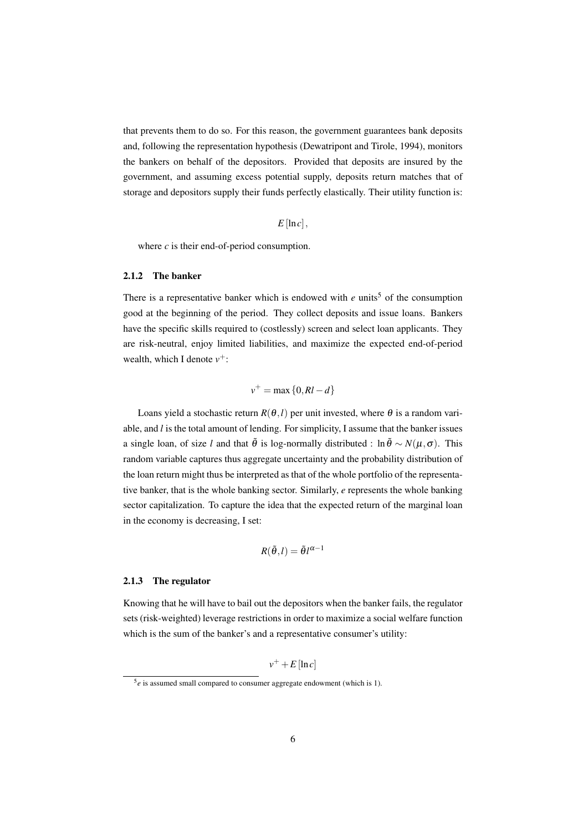that prevents them to do so. For this reason, the government guarantees bank deposits and, following the representation hypothesis (Dewatripont and Tirole, 1994), monitors the bankers on behalf of the depositors. Provided that deposits are insured by the government, and assuming excess potential supply, deposits return matches that of storage and depositors supply their funds perfectly elastically. Their utility function is:

 $E$ [ln*c*],

where *c* is their end-of-period consumption.

## 2.1.2 The banker

There is a representative banker which is endowed with  $e$  units<sup>5</sup> of the consumption good at the beginning of the period. They collect deposits and issue loans. Bankers have the specific skills required to (costlessly) screen and select loan applicants. They are risk-neutral, enjoy limited liabilities, and maximize the expected end-of-period wealth, which I denote  $v^+$ :

$$
v^+ = \max\{0, RI - d\}
$$

Loans yield a stochastic return  $R(\theta, l)$  per unit invested, where  $\theta$  is a random variable, and *l* is the total amount of lending. For simplicity, I assume that the banker issues a single loan, of size *l* and that  $\tilde{\theta}$  is log-normally distributed : ln $\tilde{\theta} \sim N(\mu, \sigma)$ . This random variable captures thus aggregate uncertainty and the probability distribution of the loan return might thus be interpreted as that of the whole portfolio of the representative banker, that is the whole banking sector. Similarly, *e* represents the whole banking sector capitalization. To capture the idea that the expected return of the marginal loan in the economy is decreasing, I set:

$$
R(\tilde{\theta},l) = \tilde{\theta}l^{\alpha-1}
$$

#### 2.1.3 The regulator

Knowing that he will have to bail out the depositors when the banker fails, the regulator sets (risk-weighted) leverage restrictions in order to maximize a social welfare function which is the sum of the banker's and a representative consumer's utility:

 $v^+$  + *E* [ln *c*]

 $5e$  is assumed small compared to consumer aggregate endowment (which is 1).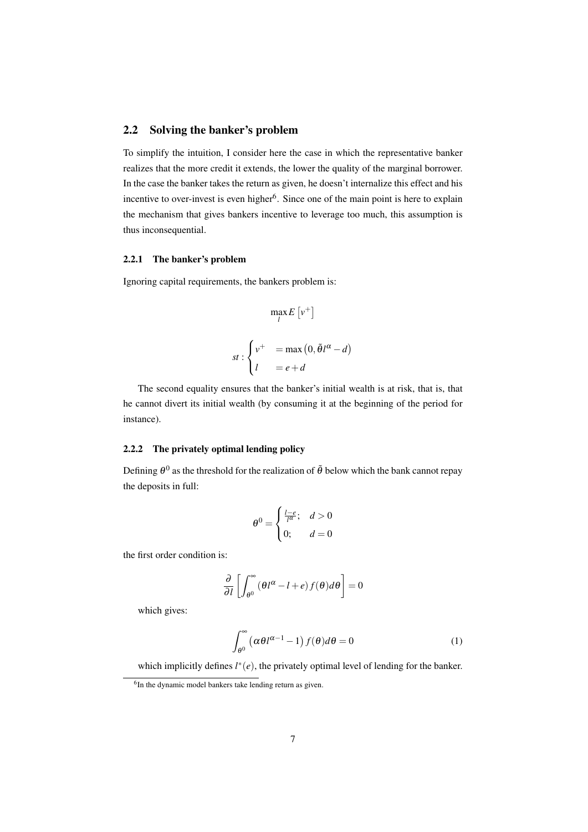## 2.2 Solving the banker's problem

To simplify the intuition, I consider here the case in which the representative banker realizes that the more credit it extends, the lower the quality of the marginal borrower. In the case the banker takes the return as given, he doesn't internalize this effect and his incentive to over-invest is even higher<sup>6</sup>. Since one of the main point is here to explain the mechanism that gives bankers incentive to leverage too much, this assumption is thus inconsequential.

## 2.2.1 The banker's problem

Ignoring capital requirements, the bankers problem is:

$$
\max_{l} E[v^{+}]
$$
  

$$
st: \begin{cases} v^{+} & = \max(0, \tilde{\theta}l^{\alpha} - d) \\ l & = e + d \end{cases}
$$

The second equality ensures that the banker's initial wealth is at risk, that is, that he cannot divert its initial wealth (by consuming it at the beginning of the period for instance).

## 2.2.2 The privately optimal lending policy

Defining  $\theta^0$  as the threshold for the realization of  $\tilde{\theta}$  below which the bank cannot repay the deposits in full:

$$
\theta^0 = \begin{cases} \frac{l-e}{l^{\alpha}}; & d > 0\\ 0; & d = 0 \end{cases}
$$

the first order condition is:

$$
\frac{\partial}{\partial l} \left[ \int_{\theta^0}^{\infty} (\theta l^{\alpha} - l + e) f(\theta) d\theta \right] = 0
$$

which gives:

$$
\int_{\theta^0}^{\infty} \left( \alpha \theta l^{\alpha - 1} - 1 \right) f(\theta) d\theta = 0 \tag{1}
$$

which implicitly defines  $l^*(e)$ , the privately optimal level of lending for the banker.

<sup>&</sup>lt;sup>6</sup>In the dynamic model bankers take lending return as given.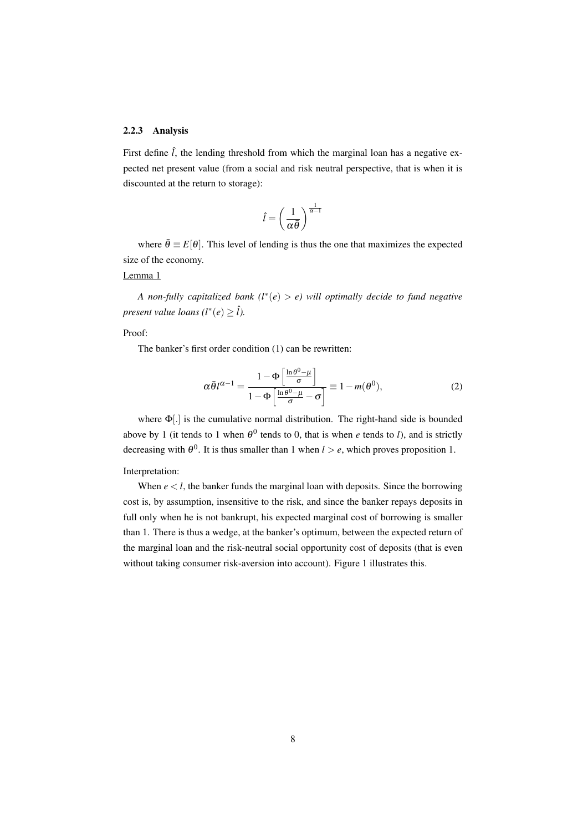## 2.2.3 Analysis

First define  $\hat{l}$ , the lending threshold from which the marginal loan has a negative expected net present value (from a social and risk neutral perspective, that is when it is discounted at the return to storage):

$$
\hat{l} = \left(\frac{1}{\alpha \bar{\theta}}\right)^{\frac{1}{\alpha - 1}}
$$

where  $\bar{\theta} \equiv E[\theta]$ . This level of lending is thus the one that maximizes the expected size of the economy.

#### Lemma 1

*A non-fully capitalized bank (l*<sup>∗</sup> (*e*) > *e) will optimally decide to fund negative present value loans*  $(l^*(e) \geq \hat{l})$ .

## Proof:

The banker's first order condition (1) can be rewritten:

$$
\alpha \bar{\theta} l^{\alpha - 1} = \frac{1 - \Phi \left[ \frac{\ln \theta^0 - \mu}{\sigma} \right]}{1 - \Phi \left[ \frac{\ln \theta^0 - \mu}{\sigma} - \sigma \right]} \equiv 1 - m(\theta^0),\tag{2}
$$

where Φ[.] is the cumulative normal distribution. The right-hand side is bounded above by 1 (it tends to 1 when  $\theta^0$  tends to 0, that is when *e* tends to *l*), and is strictly decreasing with  $\theta^0$ . It is thus smaller than 1 when  $l > e$ , which proves proposition 1.

#### Interpretation:

When  $e < l$ , the banker funds the marginal loan with deposits. Since the borrowing cost is, by assumption, insensitive to the risk, and since the banker repays deposits in full only when he is not bankrupt, his expected marginal cost of borrowing is smaller than 1. There is thus a wedge, at the banker's optimum, between the expected return of the marginal loan and the risk-neutral social opportunity cost of deposits (that is even without taking consumer risk-aversion into account). Figure 1 illustrates this.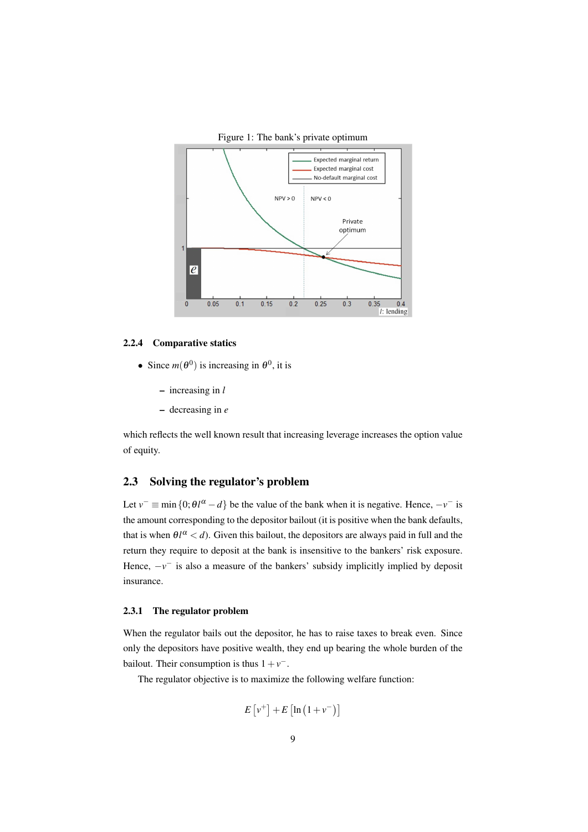

Figure 1: The bank's private optimum

#### 2.2.4 Comparative statics

- Since  $m(\theta^0)$  is increasing in  $\theta^0$ , it is
	- increasing in *l*
	- decreasing in *e*

which reflects the well known result that increasing leverage increases the option value of equity.

## 2.3 Solving the regulator's problem

Let  $v^- \equiv \min\{0; \theta l^{\alpha} - d\}$  be the value of the bank when it is negative. Hence,  $-v^-$  is the amount corresponding to the depositor bailout (it is positive when the bank defaults, that is when  $\theta l^{\alpha} < d$ ). Given this bailout, the depositors are always paid in full and the return they require to deposit at the bank is insensitive to the bankers' risk exposure. Hence,  $-v^-$  is also a measure of the bankers' subsidy implicitly implied by deposit insurance.

## 2.3.1 The regulator problem

When the regulator bails out the depositor, he has to raise taxes to break even. Since only the depositors have positive wealth, they end up bearing the whole burden of the bailout. Their consumption is thus  $1 + v^{-}$ .

The regulator objective is to maximize the following welfare function:

$$
E[v^+] + E\left[\ln\left(1 + v^-\right)\right]
$$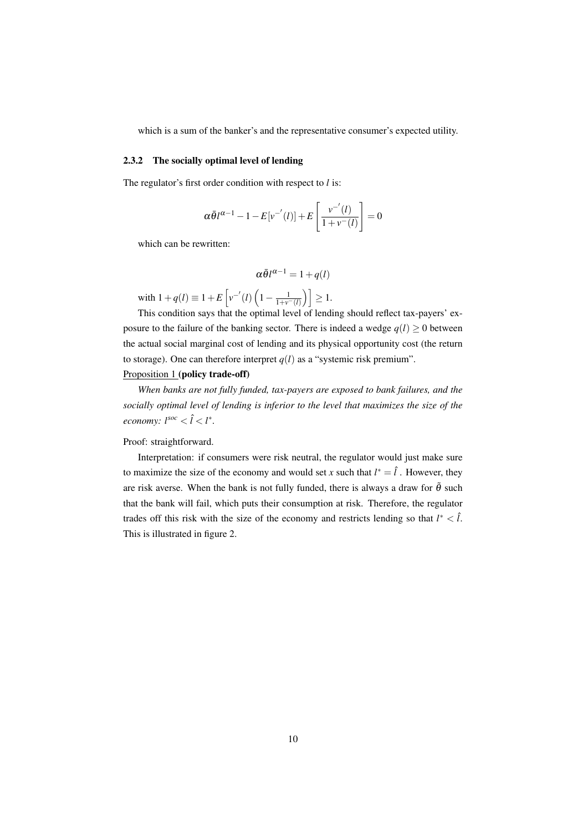which is a sum of the banker's and the representative consumer's expected utility.

#### 2.3.2 The socially optimal level of lending

The regulator's first order condition with respect to *l* is:

$$
\alpha \bar{\theta} l^{\alpha-1} - 1 - E[v^{-(l)}] + E\left[\frac{v^{-(l)}}{1 + v^{-}(l)}\right] = 0
$$

which can be rewritten:

$$
\alpha \bar{\theta} l^{\alpha - 1} = 1 + q(l)
$$

with  $1 + q(l) \equiv 1 + E\left[v^{-'}(l)\left(1 - \frac{1}{1 + v^{-}(l)}\right)\right] \ge 1.$ 

This condition says that the optimal level of lending should reflect tax-payers' exposure to the failure of the banking sector. There is indeed a wedge  $q(l) \ge 0$  between the actual social marginal cost of lending and its physical opportunity cost (the return to storage). One can therefore interpret  $q(l)$  as a "systemic risk premium".

## Proposition 1 (policy trade-off)

*When banks are not fully funded, tax-payers are exposed to bank failures, and the socially optimal level of lending is inferior to the level that maximizes the size of the economy:*  $l^{soc} < \hat{l} < l^*$ .

#### Proof: straightforward.

Interpretation: if consumers were risk neutral, the regulator would just make sure to maximize the size of the economy and would set *x* such that  $l^* = \hat{l}$ . However, they are risk averse. When the bank is not fully funded, there is always a draw for  $\tilde{\theta}$  such that the bank will fail, which puts their consumption at risk. Therefore, the regulator trades off this risk with the size of the economy and restricts lending so that  $l^* < \hat{l}$ . This is illustrated in figure 2.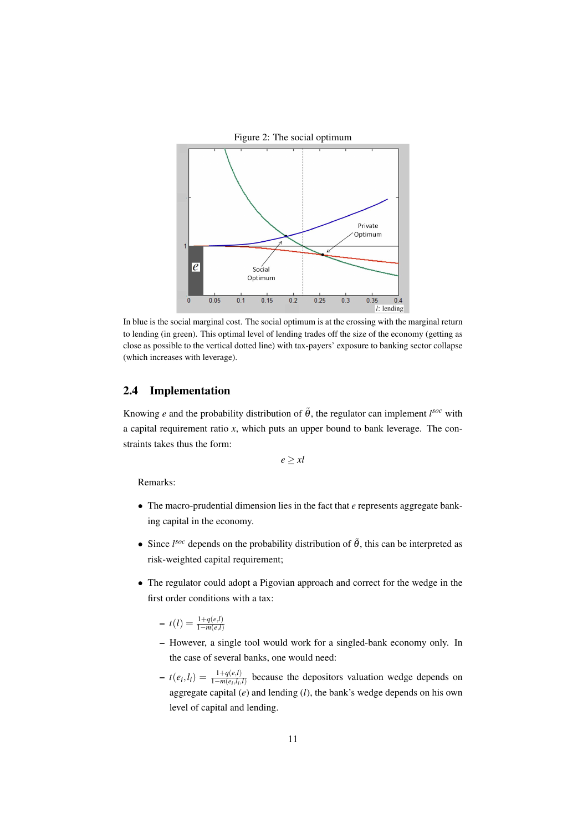

In blue is the social marginal cost. The social optimum is at the crossing with the marginal return to lending (in green). This optimal level of lending trades off the size of the economy (getting as close as possible to the vertical dotted line) with tax-payers' exposure to banking sector collapse (which increases with leverage).

## 2.4 Implementation

Knowing *e* and the probability distribution of  $\tilde{\theta}$ , the regulator can implement  $l^{soc}$  with a capital requirement ratio *x*, which puts an upper bound to bank leverage. The constraints takes thus the form:

 $e \geq x l$ 

Remarks:

- The macro-prudential dimension lies in the fact that *e* represents aggregate banking capital in the economy.
- Since  $l<sup>soc</sup>$  depends on the probability distribution of  $\tilde{\theta}$ , this can be interpreted as risk-weighted capital requirement;
- The regulator could adopt a Pigovian approach and correct for the wedge in the first order conditions with a tax:

- 
$$
t(l) = \frac{1 + q(e,l)}{1 - m(e,l)}
$$

- However, a single tool would work for a singled-bank economy only. In the case of several banks, one would need:
- $t(e_i, l_i) = \frac{1 + q(e, l)}{1 m(e_i, l_i, l)}$  because the depositors valuation wedge depends on aggregate capital (*e*) and lending (*l*), the bank's wedge depends on his own level of capital and lending.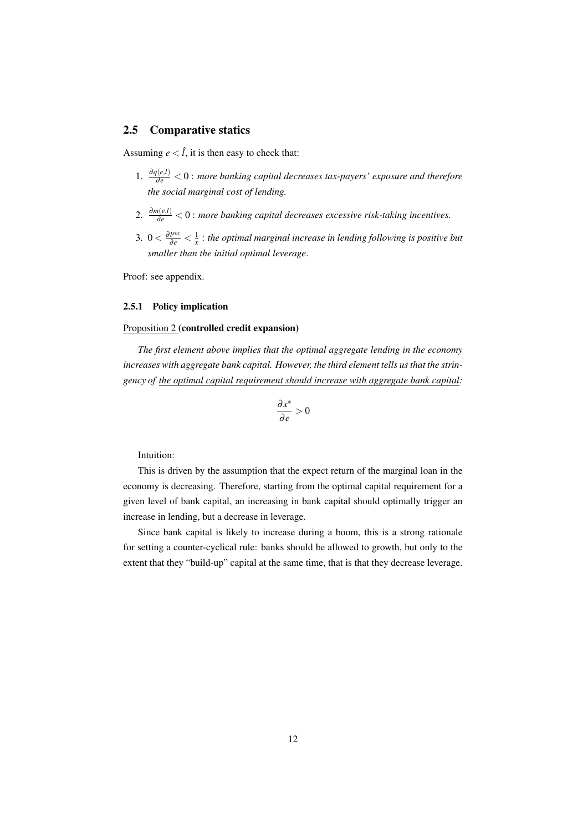## 2.5 Comparative statics

Assuming  $e < \hat{l}$ , it is then easy to check that:

- 1.  $\frac{\partial q(e,l)}{\partial e}$  < 0 : *more banking capital decreases tax-payers' exposure and therefore the social marginal cost of lending.*
- 2.  $\frac{\partial m(e,l)}{\partial e}$  < 0 : *more banking capital decreases excessive risk-taking incentives.*
- 3.  $0 < \frac{\partial l^{soc}}{\partial e} < \frac{1}{x}$ : *the optimal marginal increase in lending following is positive but smaller than the initial optimal leverage*.

Proof: see appendix.

## 2.5.1 Policy implication

## Proposition 2 (controlled credit expansion)

*The first element above implies that the optimal aggregate lending in the economy increases with aggregate bank capital. However, the third element tells us that the stringency of the optimal capital requirement should increase with aggregate bank capital:*

$$
\frac{\partial x^*}{\partial e} > 0
$$

Intuition:

This is driven by the assumption that the expect return of the marginal loan in the economy is decreasing. Therefore, starting from the optimal capital requirement for a given level of bank capital, an increasing in bank capital should optimally trigger an increase in lending, but a decrease in leverage.

Since bank capital is likely to increase during a boom, this is a strong rationale for setting a counter-cyclical rule: banks should be allowed to growth, but only to the extent that they "build-up" capital at the same time, that is that they decrease leverage.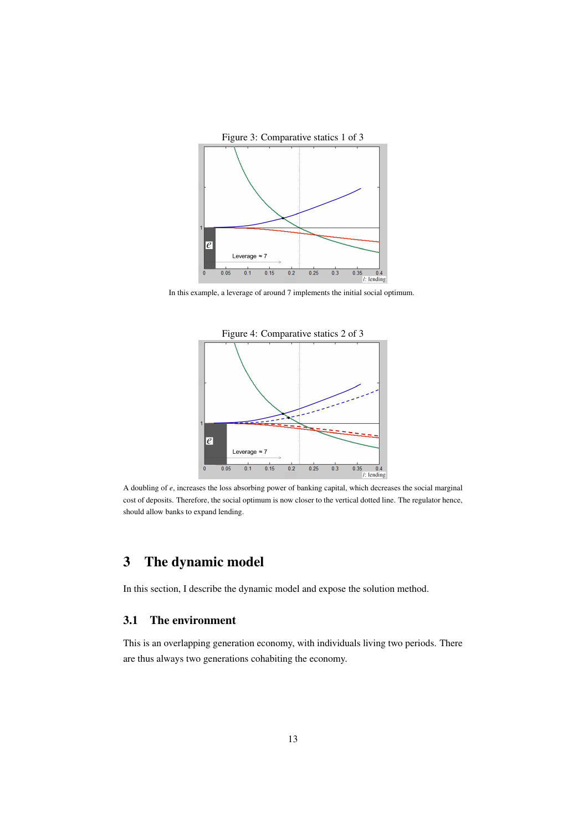

In this example, a leverage of around 7 implements the initial social optimum.



A doubling of *e*, increases the loss absorbing power of banking capital, which decreases the social marginal cost of deposits. Therefore, the social optimum is now closer to the vertical dotted line. The regulator hence, should allow banks to expand lending.

# 3 The dynamic model

In this section, I describe the dynamic model and expose the solution method.

## 3.1 The environment

This is an overlapping generation economy, with individuals living two periods. There are thus always two generations cohabiting the economy.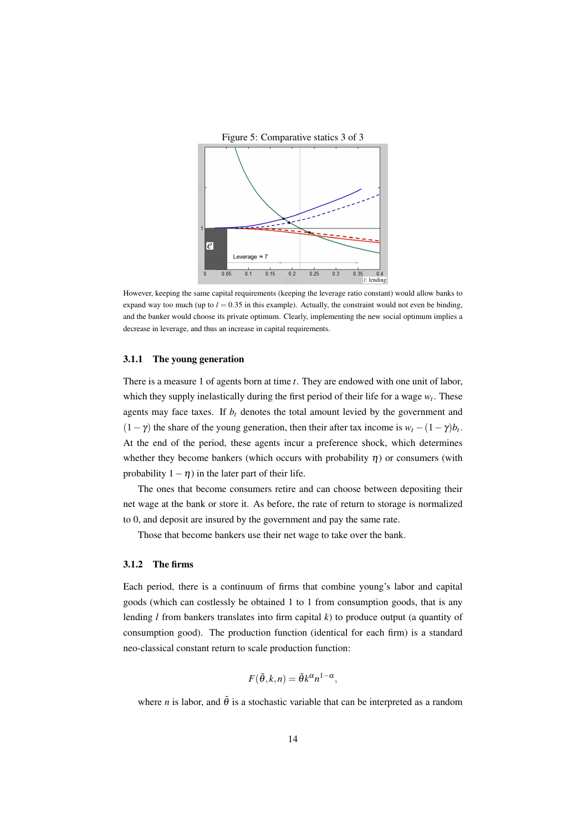

However, keeping the same capital requirements (keeping the leverage ratio constant) would allow banks to expand way too much (up to  $l = 0.35$  in this example). Actually, the constraint would not even be binding, and the banker would choose its private optimum. Clearly, implementing the new social optimum implies a decrease in leverage, and thus an increase in capital requirements.

#### 3.1.1 The young generation

There is a measure 1 of agents born at time *t*. They are endowed with one unit of labor, which they supply inelastically during the first period of their life for a wage *w<sup>t</sup>* . These agents may face taxes. If  $b_t$  denotes the total amount levied by the government and  $(1 - \gamma)$  the share of the young generation, then their after tax income is  $w_t - (1 - \gamma)b_t$ . At the end of the period, these agents incur a preference shock, which determines whether they become bankers (which occurs with probability  $\eta$ ) or consumers (with probability  $1 - \eta$ ) in the later part of their life.

The ones that become consumers retire and can choose between depositing their net wage at the bank or store it. As before, the rate of return to storage is normalized to 0, and deposit are insured by the government and pay the same rate.

Those that become bankers use their net wage to take over the bank.

#### 3.1.2 The firms

Each period, there is a continuum of firms that combine young's labor and capital goods (which can costlessly be obtained 1 to 1 from consumption goods, that is any lending *l* from bankers translates into firm capital *k*) to produce output (a quantity of consumption good). The production function (identical for each firm) is a standard neo-classical constant return to scale production function:

$$
F(\tilde{\theta}, k, n) = \tilde{\theta}k^{\alpha}n^{1-\alpha},
$$

where *n* is labor, and  $\tilde{\theta}$  is a stochastic variable that can be interpreted as a random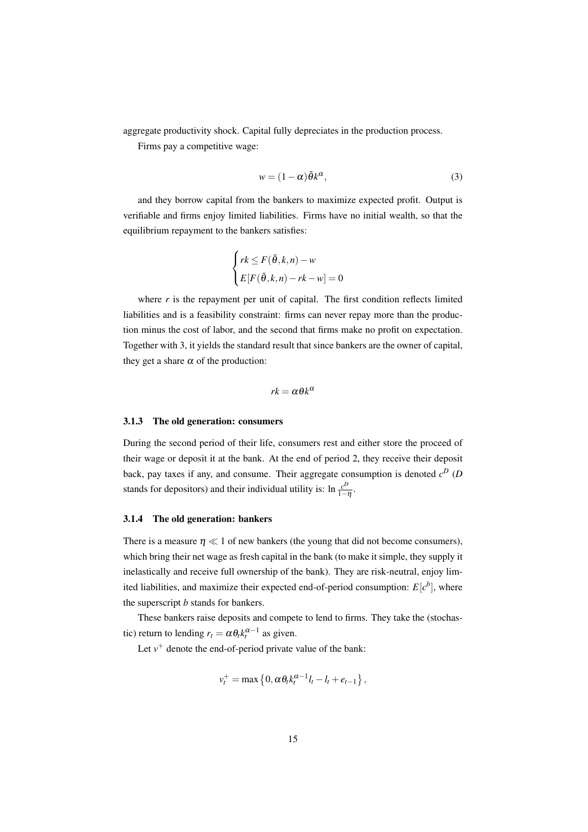aggregate productivity shock. Capital fully depreciates in the production process.

Firms pay a competitive wage:

$$
w = (1 - \alpha)\tilde{\theta}k^{\alpha},\tag{3}
$$

and they borrow capital from the bankers to maximize expected profit. Output is verifiable and firms enjoy limited liabilities. Firms have no initial wealth, so that the equilibrium repayment to the bankers satisfies:

$$
\begin{cases} rk \leq F(\tilde{\theta}, k, n) - w \\ E[F(\tilde{\theta}, k, n) - rk - w] = 0 \end{cases}
$$

where  $r$  is the repayment per unit of capital. The first condition reflects limited liabilities and is a feasibility constraint: firms can never repay more than the production minus the cost of labor, and the second that firms make no profit on expectation. Together with 3, it yields the standard result that since bankers are the owner of capital, they get a share  $\alpha$  of the production:

$$
rk = \alpha \theta k^{\alpha}
$$

#### 3.1.3 The old generation: consumers

During the second period of their life, consumers rest and either store the proceed of their wage or deposit it at the bank. At the end of period 2, they receive their deposit back, pay taxes if any, and consume. Their aggregate consumption is denoted *c <sup>D</sup>* (*D* stands for depositors) and their individual utility is:  $\ln \frac{c^D}{1-c}$  $rac{c^{\nu}}{1-\eta}$ .

## 3.1.4 The old generation: bankers

There is a measure  $\eta \ll 1$  of new bankers (the young that did not become consumers), which bring their net wage as fresh capital in the bank (to make it simple, they supply it inelastically and receive full ownership of the bank). They are risk-neutral, enjoy limited liabilities, and maximize their expected end-of-period consumption:  $E[c^b]$ , where the superscript *b* stands for bankers.

These bankers raise deposits and compete to lend to firms. They take the (stochastic) return to lending  $r_t = \alpha \theta_t k_t^{\alpha - 1}$  as given.

Let  $v^+$  denote the end-of-period private value of the bank:

$$
v_t^+ = \max\left\{0, \alpha \theta_t k_t^{\alpha-1} l_t - l_t + e_{t-1}\right\},\,
$$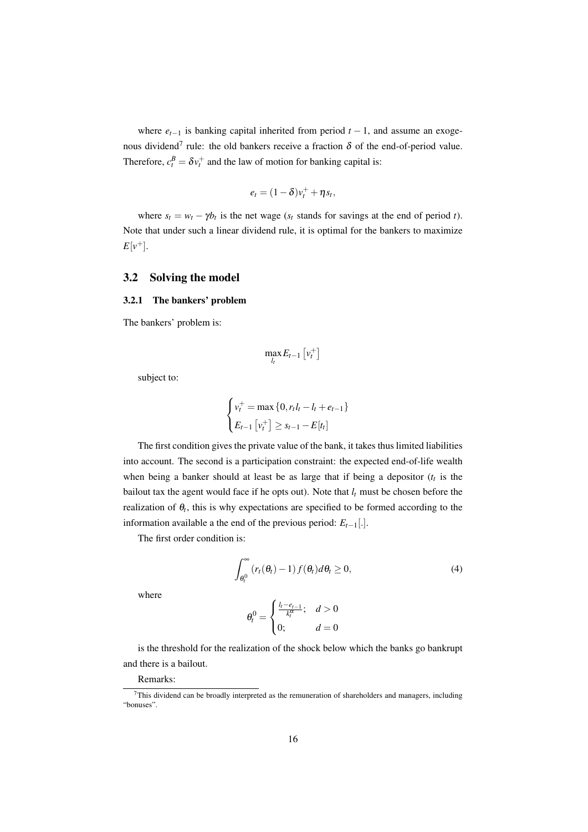where  $e_{t-1}$  is banking capital inherited from period  $t-1$ , and assume an exogenous dividend<sup>7</sup> rule: the old bankers receive a fraction  $\delta$  of the end-of-period value. Therefore,  $c_t^B = \delta v_t^+$  and the law of motion for banking capital is:

$$
e_t = (1 - \delta)v_t^+ + \eta s_t,
$$

where  $s_t = w_t - \gamma b_t$  is the net wage ( $s_t$  stands for savings at the end of period *t*). Note that under such a linear dividend rule, it is optimal for the bankers to maximize  $E[v^+]$ .

## 3.2 Solving the model

## 3.2.1 The bankers' problem

The bankers' problem is:

$$
\max_{l_t} E_{t-1} \left[ v_t^+ \right]
$$

subject to:

$$
\begin{cases} v_t^+ = \max\{0, r_t l_t - l_t + e_{t-1}\} \\ E_{t-1} [v_t^+] \ge s_{t-1} - E[t_t] \end{cases}
$$

The first condition gives the private value of the bank, it takes thus limited liabilities into account. The second is a participation constraint: the expected end-of-life wealth when being a banker should at least be as large that if being a depositor  $(t<sub>t</sub>$  is the bailout tax the agent would face if he opts out). Note that  $l_t$  must be chosen before the realization of  $\theta_t$ , this is why expectations are specified to be formed according to the information available a the end of the previous period:  $E_{t-1}$ [.].

The first order condition is:

$$
\int_{\theta_t^0}^{\infty} \left( r_t(\theta_t) - 1 \right) f(\theta_t) d\theta_t \ge 0,
$$
\n(4)

where

$$
\theta_t^0 = \begin{cases} \frac{l_t - e_{t-1}}{k_t^\alpha}; & d > 0\\ 0; & d = 0 \end{cases}
$$

is the threshold for the realization of the shock below which the banks go bankrupt and there is a bailout.

## Remarks:

 $7$ This dividend can be broadly interpreted as the remuneration of shareholders and managers, including "bonuses".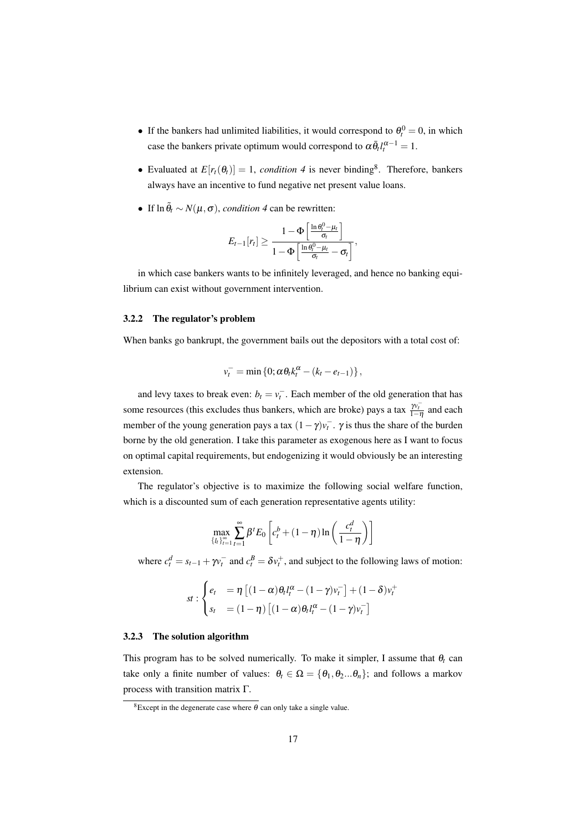- If the bankers had unlimited liabilities, it would correspond to  $\theta_t^0 = 0$ , in which case the bankers private optimum would correspond to  $\alpha \bar{\theta}_l l_l^{\alpha-1} = 1$ .
- Evaluated at  $E[r_t(\theta_t)] = 1$ , *condition* 4 is never binding<sup>8</sup>. Therefore, bankers always have an incentive to fund negative net present value loans.
- If  $\ln \tilde{\theta}_t \sim N(\mu, \sigma)$ , *condition 4* can be rewritten:

$$
E_{t-1}[r_t] \geq \frac{1-\Phi\left[\frac{\ln \theta_t^0-\mu_t}{\sigma_t}\right]}{1-\Phi\left[\frac{\ln \theta_t^0-\mu_t}{\sigma_t}-\sigma_t\right]},
$$

in which case bankers wants to be infinitely leveraged, and hence no banking equilibrium can exist without government intervention.

#### 3.2.2 The regulator's problem

When banks go bankrupt, the government bails out the depositors with a total cost of:

$$
v_t^- = \min\left\{0; \alpha\theta_t k_t^{\alpha} - (k_t - e_{t-1})\right\},\,
$$

and levy taxes to break even:  $b_t = v_t^-$ . Each member of the old generation that has some resources (this excludes thus bankers, which are broke) pays a tax  $\frac{\mathcal{W}_t^-}{1-\eta}$  and each member of the young generation pays a tax  $(1 - \gamma)v_t$ .  $\gamma$  is thus the share of the burden borne by the old generation. I take this parameter as exogenous here as I want to focus on optimal capital requirements, but endogenizing it would obviously be an interesting extension.

The regulator's objective is to maximize the following social welfare function, which is a discounted sum of each generation representative agents utility:

$$
\max_{\{l_t\}_{t=1}^{\infty}} \sum_{t=1}^{\infty} \beta^t E_0 \left[ c_t^b + (1 - \eta) \ln \left( \frac{c_t^d}{1 - \eta} \right) \right]
$$

where  $c_t^d = s_{t-1} + \gamma v_t^-$  and  $c_t^B = \delta v_t^+$ , and subject to the following laws of motion:

$$
st: \begin{cases} e_t &= \eta \left[ (1-\alpha)\theta_t l_t^{\alpha} - (1-\gamma)v_t^- \right] + (1-\delta)v_t^+ \\ s_t &= (1-\eta) \left[ (1-\alpha)\theta_t l_t^{\alpha} - (1-\gamma)v_t^- \right] \end{cases}
$$

#### 3.2.3 The solution algorithm

This program has to be solved numerically. To make it simpler, I assume that  $\theta_t$  can take only a finite number of values:  $\theta_t \in \Omega = {\theta_1, \theta_2 ... \theta_n}$ ; and follows a markov process with transition matrix Γ.

<sup>&</sup>lt;sup>8</sup>Except in the degenerate case where  $\theta$  can only take a single value.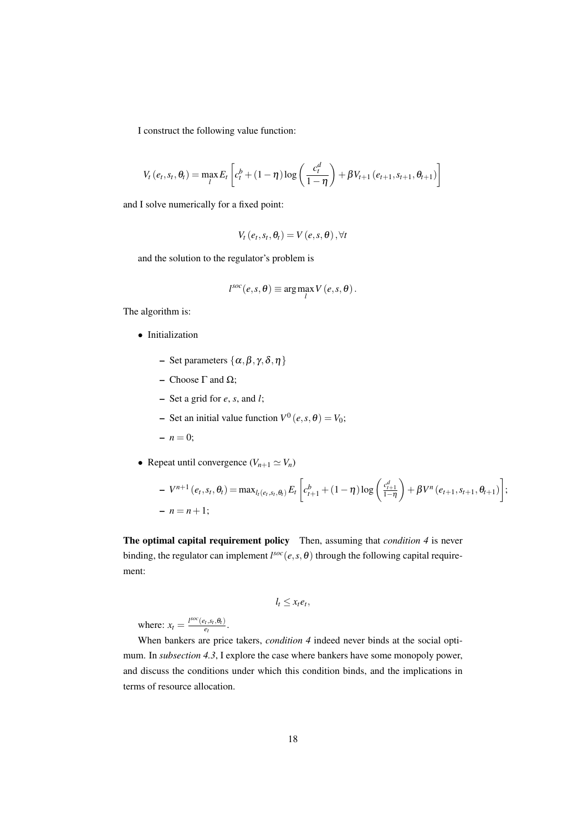I construct the following value function:

$$
V_t(e_t, s_t, \theta_t) = \max_l E_t \left[ c_t^b + (1 - \eta) \log \left( \frac{c_t^d}{1 - \eta} \right) + \beta V_{t+1} \left( e_{t+1}, s_{t+1}, \theta_{t+1} \right) \right]
$$

and I solve numerically for a fixed point:

$$
V_t(e_t, s_t, \theta_t) = V(e, s, \theta), \forall t
$$

and the solution to the regulator's problem is

$$
l^{soc}(e, s, \theta) \equiv \arg \max_{l} V(e, s, \theta).
$$

The algorithm is:

- Initialization
	- Set parameters  $\{\alpha, \beta, \gamma, \delta, \eta\}$
	- Choose Γ and Ω;
	- Set a grid for *e*, *s*, and *l*;
	- $\blacktriangleright$  Set an initial value function  $V^0(e, s, \theta) = V_0;$
	- $n = 0;$
- Repeat until convergence  $(V_{n+1} \simeq V_n)$

$$
- V^{n+1} (e_t, s_t, \theta_t) = \max_{l_t(e_t, s_t, \theta_t)} E_t \left[ c_{t+1}^b + (1 - \eta) \log \left( \frac{c_{t+1}^d}{1 - \eta} \right) + \beta V^n (e_{t+1}, s_{t+1}, \theta_{t+1}) \right];
$$
  
- n = n + 1;

The optimal capital requirement policy Then, assuming that *condition 4* is never binding, the regulator can implement  $l^{soc}(e, s, \theta)$  through the following capital requirement:

$$
l_t \leq x_t e_t,
$$

where:  $x_t = \frac{l^{soc}(e_t, s_t, \theta_t)}{e_t}$  $\frac{\partial_t \mathbf{r}, \mathbf{s}_t, \mathbf{\Theta}_t}{e_t}$ .

When bankers are price takers, *condition 4* indeed never binds at the social optimum. In *subsection 4.3*, I explore the case where bankers have some monopoly power, and discuss the conditions under which this condition binds, and the implications in terms of resource allocation.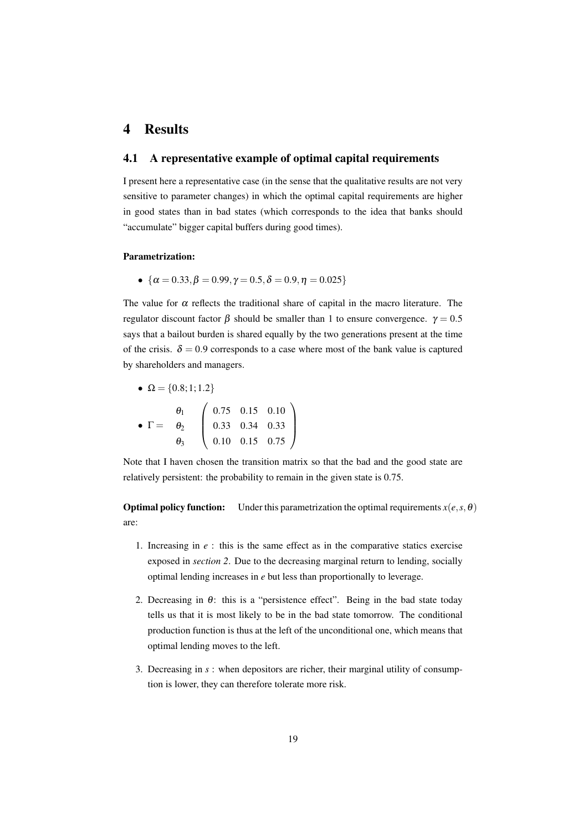# 4 Results

## 4.1 A representative example of optimal capital requirements

I present here a representative case (in the sense that the qualitative results are not very sensitive to parameter changes) in which the optimal capital requirements are higher in good states than in bad states (which corresponds to the idea that banks should "accumulate" bigger capital buffers during good times).

## Parametrization:

•  $\{\alpha = 0.33, \beta = 0.99, \gamma = 0.5, \delta = 0.9, \eta = 0.025\}$ 

The value for  $\alpha$  reflects the traditional share of capital in the macro literature. The regulator discount factor β should be smaller than 1 to ensure convergence.  $γ = 0.5$ says that a bailout burden is shared equally by the two generations present at the time of the crisis.  $\delta = 0.9$  corresponds to a case where most of the bank value is captured by shareholders and managers.

• 
$$
\Omega = \{0.8; 1; 1.2\}
$$
  
\n•  $\Gamma = \begin{array}{c} \theta_1 \\ \theta_2 \\ \theta_3 \end{array} \left( \begin{array}{ccc} 0.75 & 0.15 & 0.10 \\ 0.33 & 0.34 & 0.33 \\ 0.10 & 0.15 & 0.75 \end{array} \right)$ 

Note that I haven chosen the transition matrix so that the bad and the good state are relatively persistent: the probability to remain in the given state is 0.75.

**Optimal policy function:** Under this parametrization the optimal requirements  $x(e, s, \theta)$ are:

- 1. Increasing in *e* : this is the same effect as in the comparative statics exercise exposed in *section 2*. Due to the decreasing marginal return to lending, socially optimal lending increases in *e* but less than proportionally to leverage.
- 2. Decreasing in  $\theta$ : this is a "persistence effect". Being in the bad state today tells us that it is most likely to be in the bad state tomorrow. The conditional production function is thus at the left of the unconditional one, which means that optimal lending moves to the left.
- 3. Decreasing in *s* : when depositors are richer, their marginal utility of consumption is lower, they can therefore tolerate more risk.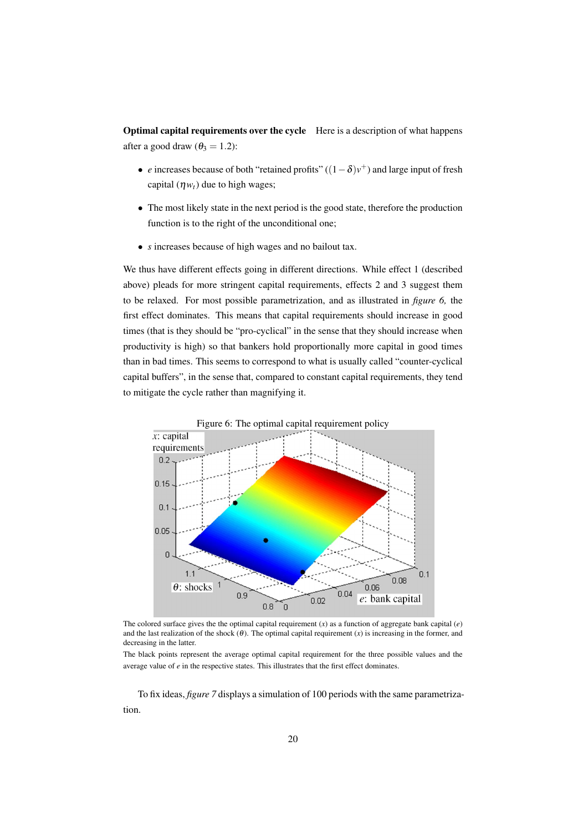Optimal capital requirements over the cycle Here is a description of what happens after a good draw ( $\theta_3 = 1.2$ ):

- *e* increases because of both "retained profits" ((1−δ)*v* <sup>+</sup>) and large input of fresh capital  $(\eta w_t)$  due to high wages;
- The most likely state in the next period is the good state, therefore the production function is to the right of the unconditional one;
- *s* increases because of high wages and no bailout tax.

We thus have different effects going in different directions. While effect 1 (described above) pleads for more stringent capital requirements, effects 2 and 3 suggest them to be relaxed. For most possible parametrization, and as illustrated in *figure 6,* the first effect dominates. This means that capital requirements should increase in good times (that is they should be "pro-cyclical" in the sense that they should increase when productivity is high) so that bankers hold proportionally more capital in good times than in bad times. This seems to correspond to what is usually called "counter-cyclical capital buffers", in the sense that, compared to constant capital requirements, they tend to mitigate the cycle rather than magnifying it.



The colored surface gives the the optimal capital requirement  $(x)$  as a function of aggregate bank capital  $(e)$ and the last realization of the shock  $(\theta)$ . The optimal capital requirement  $(x)$  is increasing in the former, and decreasing in the latter.

The black points represent the average optimal capital requirement for the three possible values and the average value of *e* in the respective states. This illustrates that the first effect dominates.

To fix ideas, *figure 7* displays a simulation of 100 periods with the same parametrization.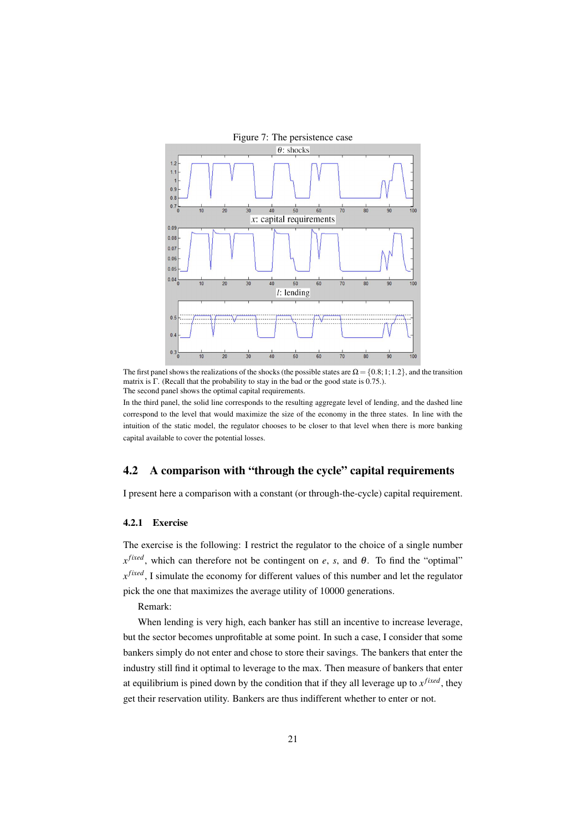

The first panel shows the realizations of the shocks (the possible states are  $\Omega = \{0.8; 1; 1.2\}$ , and the transition matrix is Γ. (Recall that the probability to stay in the bad or the good state is 0.75.). The second panel shows the optimal capital requirements.

In the third panel, the solid line corresponds to the resulting aggregate level of lending, and the dashed line correspond to the level that would maximize the size of the economy in the three states. In line with the intuition of the static model, the regulator chooses to be closer to that level when there is more banking capital available to cover the potential losses.

## 4.2 A comparison with "through the cycle" capital requirements

I present here a comparison with a constant (or through-the-cycle) capital requirement.

#### 4.2.1 Exercise

The exercise is the following: I restrict the regulator to the choice of a single number *x fixed*, which can therefore not be contingent on *e*, *s*, and θ. To find the "optimal" *x fixed*, I simulate the economy for different values of this number and let the regulator pick the one that maximizes the average utility of 10000 generations.

Remark:

When lending is very high, each banker has still an incentive to increase leverage, but the sector becomes unprofitable at some point. In such a case, I consider that some bankers simply do not enter and chose to store their savings. The bankers that enter the industry still find it optimal to leverage to the max. Then measure of bankers that enter at equilibrium is pined down by the condition that if they all leverage up to *x fixed*, they get their reservation utility. Bankers are thus indifferent whether to enter or not.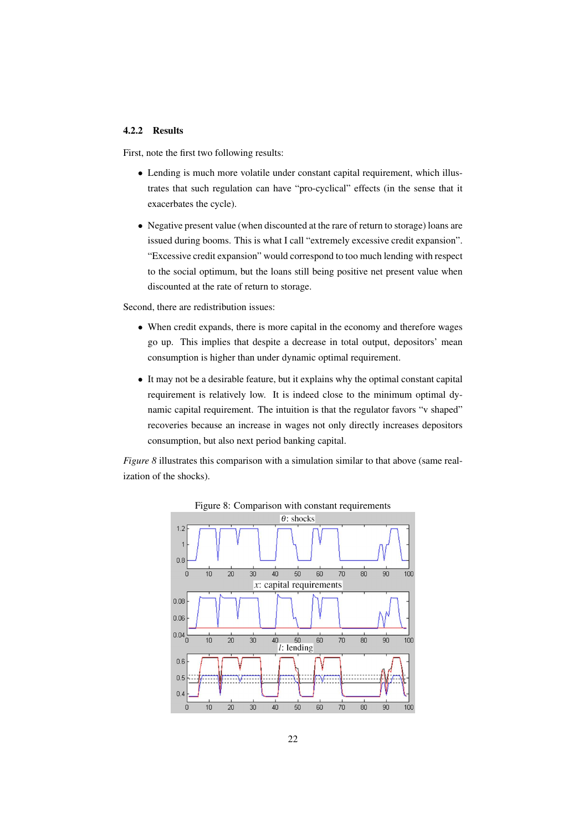## 4.2.2 Results

First, note the first two following results:

- Lending is much more volatile under constant capital requirement, which illustrates that such regulation can have "pro-cyclical" effects (in the sense that it exacerbates the cycle).
- Negative present value (when discounted at the rare of return to storage) loans are issued during booms. This is what I call "extremely excessive credit expansion". "Excessive credit expansion" would correspond to too much lending with respect to the social optimum, but the loans still being positive net present value when discounted at the rate of return to storage.

Second, there are redistribution issues:

- When credit expands, there is more capital in the economy and therefore wages go up. This implies that despite a decrease in total output, depositors' mean consumption is higher than under dynamic optimal requirement.
- It may not be a desirable feature, but it explains why the optimal constant capital requirement is relatively low. It is indeed close to the minimum optimal dynamic capital requirement. The intuition is that the regulator favors "v shaped" recoveries because an increase in wages not only directly increases depositors consumption, but also next period banking capital.

*Figure 8* illustrates this comparison with a simulation similar to that above (same realization of the shocks).

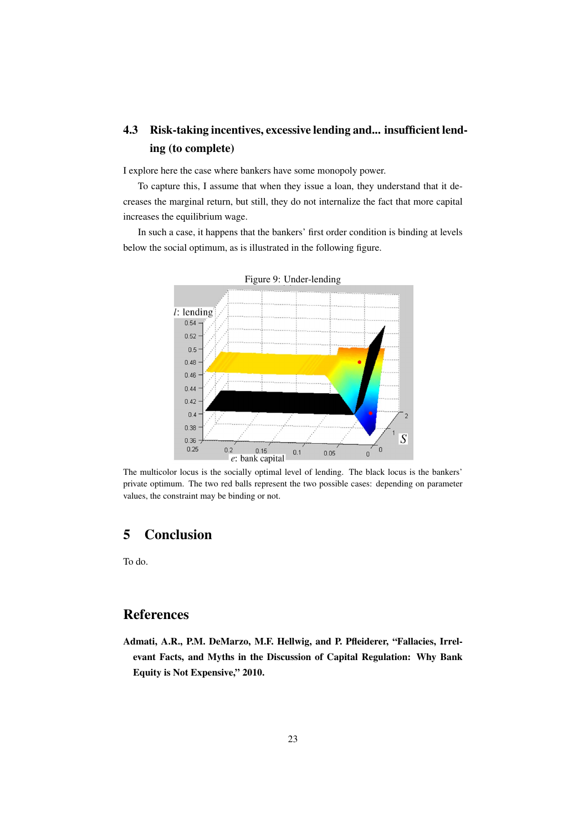# 4.3 Risk-taking incentives, excessive lending and... insufficient lending (to complete)

I explore here the case where bankers have some monopoly power.

To capture this, I assume that when they issue a loan, they understand that it decreases the marginal return, but still, they do not internalize the fact that more capital increases the equilibrium wage.

In such a case, it happens that the bankers' first order condition is binding at levels below the social optimum, as is illustrated in the following figure.



Figure 9: Under-lending

The multicolor locus is the socially optimal level of lending. The black locus is the bankers' private optimum. The two red balls represent the two possible cases: depending on parameter values, the constraint may be binding or not.

# 5 Conclusion

To do.

# References

Admati, A.R., P.M. DeMarzo, M.F. Hellwig, and P. Pfleiderer, "Fallacies, Irrelevant Facts, and Myths in the Discussion of Capital Regulation: Why Bank Equity is Not Expensive," 2010.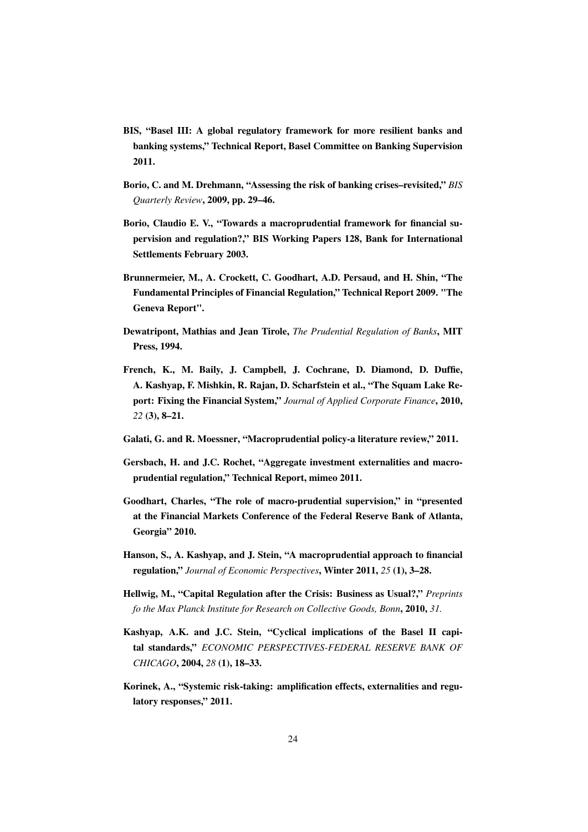- BIS, "Basel III: A global regulatory framework for more resilient banks and banking systems," Technical Report, Basel Committee on Banking Supervision 2011.
- Borio, C. and M. Drehmann, "Assessing the risk of banking crises–revisited," *BIS Quarterly Review*, 2009, pp. 29–46.
- Borio, Claudio E. V., "Towards a macroprudential framework for financial supervision and regulation?," BIS Working Papers 128, Bank for International Settlements February 2003.
- Brunnermeier, M., A. Crockett, C. Goodhart, A.D. Persaud, and H. Shin, "The Fundamental Principles of Financial Regulation," Technical Report 2009. "The Geneva Report".
- Dewatripont, Mathias and Jean Tirole, *The Prudential Regulation of Banks*, MIT Press, 1994.
- French, K., M. Baily, J. Campbell, J. Cochrane, D. Diamond, D. Duffie, A. Kashyap, F. Mishkin, R. Rajan, D. Scharfstein et al., "The Squam Lake Report: Fixing the Financial System," *Journal of Applied Corporate Finance*, 2010, *22* (3), 8–21.
- Galati, G. and R. Moessner, "Macroprudential policy-a literature review," 2011.
- Gersbach, H. and J.C. Rochet, "Aggregate investment externalities and macroprudential regulation," Technical Report, mimeo 2011.
- Goodhart, Charles, "The role of macro-prudential supervision," in "presented at the Financial Markets Conference of the Federal Reserve Bank of Atlanta, Georgia" 2010.
- Hanson, S., A. Kashyap, and J. Stein, "A macroprudential approach to financial regulation," *Journal of Economic Perspectives*, Winter 2011, *25* (1), 3–28.
- Hellwig, M., "Capital Regulation after the Crisis: Business as Usual?," *Preprints fo the Max Planck Institute for Research on Collective Goods, Bonn*, 2010, *31.*
- Kashyap, A.K. and J.C. Stein, "Cyclical implications of the Basel II capital standards," *ECONOMIC PERSPECTIVES-FEDERAL RESERVE BANK OF CHICAGO*, 2004, *28* (1), 18–33.
- Korinek, A., "Systemic risk-taking: amplification effects, externalities and regulatory responses," 2011.